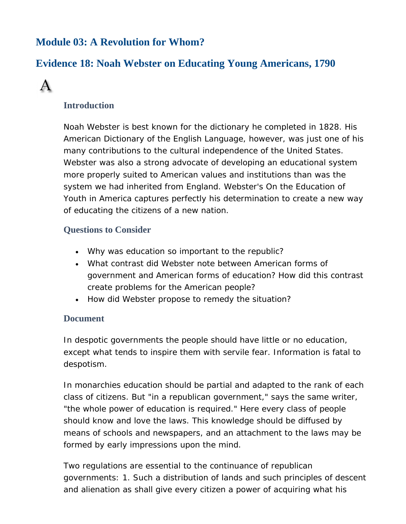# **Module 03: A Revolution for Whom?**

## **Evidence 18: Noah Webster on Educating Young Americans, 1790**



### **Introduction**

Noah Webster is best known for the dictionary he completed in 1828. His *American Dictionary of the English Language*, however, was just one of his many contributions to the cultural independence of the United States. Webster was also a strong advocate of developing an educational system more properly suited to American values and institutions than was the system we had inherited from England. Webster's *On the Education of Youth in America* captures perfectly his determination to create a new way of educating the citizens of a new nation.

### **Questions to Consider**

- Why was education so important to the republic?
- What contrast did Webster note between American forms of government and American forms of education? How did this contrast create problems for the American people?
- How did Webster propose to remedy the situation?

#### **Document**

In despotic governments the people should have little or no education, except what tends to inspire them with servile fear. Information is fatal to despotism.

In monarchies education should be partial and adapted to the rank of each class of citizens. But "in a republican government," says the same writer, "the whole power of education is required." Here every class of people should know and love the laws. This knowledge should be diffused by means of schools and newspapers, and an attachment to the laws may be formed by early impressions upon the mind.

Two regulations are essential to the continuance of republican governments: 1. Such a distribution of lands and such principles of descent and alienation as shall give every citizen a power of acquiring what his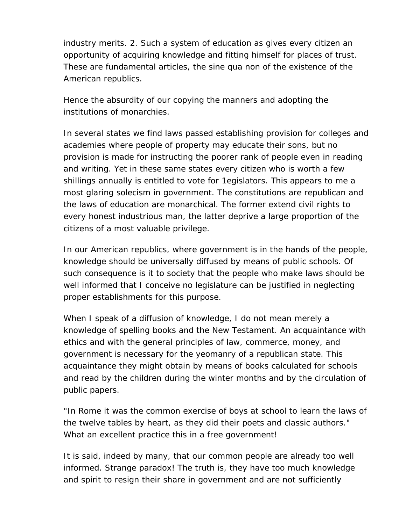industry merits. 2. Such a system of education as gives every citizen an opportunity of acquiring knowledge and fitting himself for places of trust. These are fundamental articles, the sine qua non of the existence of the American republics.

Hence the absurdity of our copying the manners and adopting the institutions of monarchies.

In several states we find laws passed establishing provision for colleges and academies where people of property may educate their sons, but no provision is made for instructing the poorer rank of people even in reading and writing. Yet in these same states every citizen who is worth a few shillings annually is entitled to vote for 1egislators. This appears to me a most glaring solecism in government. The constitutions are republican and the laws of education are monarchical. The former extend civil rights to every honest industrious man, the latter deprive a large proportion of the citizens of a most valuable privilege.

In our American republics, where government is in the hands of the people, knowledge should be universally diffused by means of public schools. Of such consequence is it to society that the people who make laws should be well informed that I conceive no legislature can be justified in neglecting proper establishments for this purpose.

When I speak of a diffusion of knowledge, I do not mean merely a knowledge of spelling books and the New Testament. An acquaintance with ethics and with the general principles of law, commerce, money, and government is necessary for the yeomanry of a republican state. This acquaintance they might obtain by means of books calculated for schools and read by the children during the winter months and by the circulation of public papers.

"In Rome it was the common exercise of boys at school to learn the laws of the twelve tables by heart, as they did their poets and classic authors." What an excellent practice this in a free government!

It is said, indeed by many, that our common people are already too well informed. Strange paradox! The truth is, they have too much knowledge and spirit to resign their share in government and are not sufficiently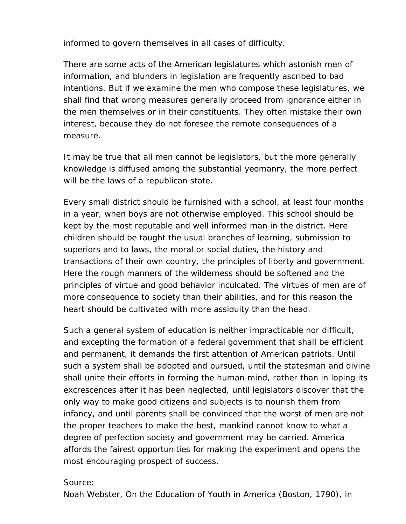informed to govern themselves in all cases of difficulty.

There are some acts of the American legislatures which astonish men of information, and blunders in legislation are frequently ascribed to bad intentions. But if we examine the men who compose these legislatures, we shall find that wrong measures generally proceed from ignorance either in the men themselves or in their constituents. They often mistake their own interest, because they do not foresee the remote consequences of a measure.

It may be true that all men cannot be legislators, but the more generally knowledge is diffused among the substantial yeomanry, the more perfect will be the laws of a republican state.

Every small district should be furnished with a school, at least four months in a year, when boys are not otherwise employed. This school should be kept by the most reputable and well informed man in the district. Here children should be taught the usual branches of learning, submission to superiors and to laws, the moral or social duties, the history and transactions of their own country, the principles of liberty and government. Here the rough manners of the wilderness should be softened and the principles of virtue and good behavior inculcated. The virtues of men are of more consequence to society than their abilities, and for this reason the heart should be cultivated with more assiduity than the head.

Such a general system of education is neither impracticable nor difficult, and excepting the formation of a federal government that shall be efficient and permanent, it demands the first attention of American patriots. Until such a system shall be adopted and pursued, until the statesman and divine shall unite their efforts in forming the human mind, rather than in loping its excrescences after it has been neglected, until legislators discover that the only way to make good citizens and subjects is to nourish them from infancy, and until parents shall be convinced that the worst of men are not the proper teachers to make the best, mankind cannot know to what a degree of perfection society and government may be carried. America affords the fairest opportunities for making the experiment and opens the most encouraging prospect of success.

#### Source:

Noah Webster, *On the Education of Youth in America* (Boston, 1790), in